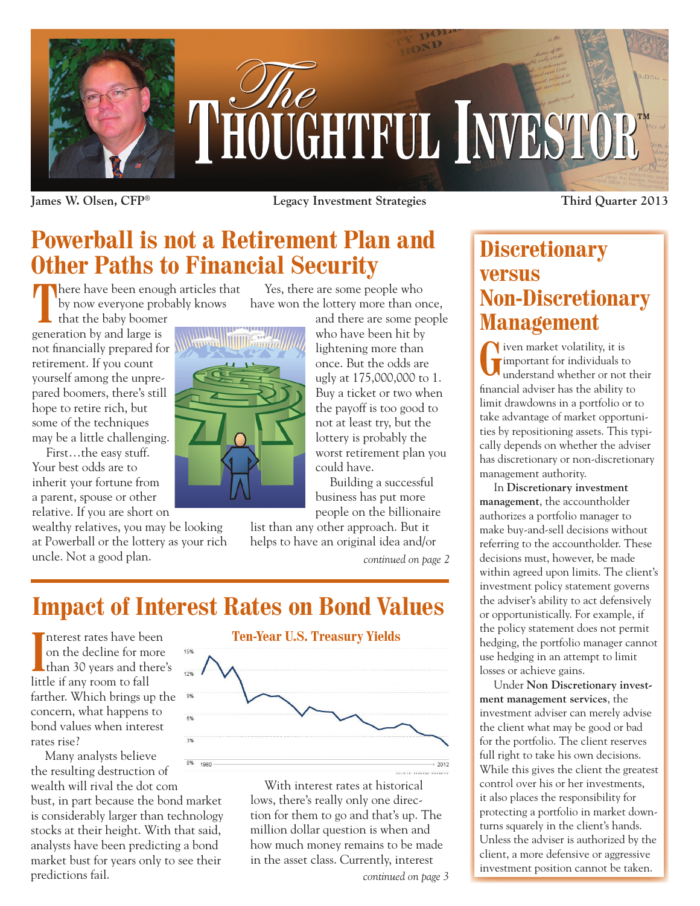

**James W. Olsen, CFP® Legacy Investment Strategies Third Quarter 2013**

## **Powerball is not a Retirement Plan and Other Paths to Financial Security**

There have been enough articles that<br>by now everyone probably knows<br>that the baby boomer<br>eration by and large is by now everyone probably knows

that the baby boomer generation by and large is not financially prepared for retirement. If you count yourself among the unprepared boomers, there's still hope to retire rich, but some of the techniques may be a little challenging.

First…the easy stuff. Your best odds are to inherit your fortune from a parent, spouse or other relative. If you are short on

wealthy relatives, you may be looking at Powerball or the lottery as your rich uncle. Not a good plan.



Yes, there are some people who have won the lottery more than once,

> and there are some people who have been hit by lightening more than once. But the odds are ugly at 175,000,000 to 1. Buy a ticket or two when the payoff is too good to not at least try, but the lottery is probably the worst retirement plan you could have.

Building a successful business has put more people on the billionaire

list than any other approach. But it helps to have an original idea and/or

*continued on page 2*

# **Impact of Interest Rates on Bond Values**

Interest rates have been<br>
on the decline for more<br>
than 30 years and there's nterest rates have been on the decline for more little if any room to fall farther. Which brings up the concern, what happens to bond values when interest rates rise?

Many analysts believe 0% 1980 the resulting destruction of wealth will rival the dot com bust, in part because the bond market is considerably larger than technology stocks at their height. With that said, analysts have been predicting a bond market bust for years only to see their predictions fail.



With interest rates at historical lows, there's really only one direction for them to go and that's up. The million dollar question is when and how much money remains to be made in the asset class. Currently, interest

## **Discretionary versus Non-Discretionary Management**

**G**iven market volatility, it is<br>important for individuals to<br>understand whether or not important for individuals to understand whether or not their financial adviser has the ability to limit drawdowns in a portfolio or to take advantage of market opportunities by repositioning assets. This typically depends on whether the adviser has discretionary or non-discretionary management authority.

In **Discretionary investment management**, the accountholder authorizes a portfolio manager to make buy-and-sell decisions without referring to the accountholder. These decisions must, however, be made within agreed upon limits. The client's investment policy statement governs the adviser's ability to act defensively or opportunistically. For example, if the policy statement does not permit hedging, the portfolio manager cannot use hedging in an attempt to limit losses or achieve gains.

Under **Non Discretionary investment management services**, the investment adviser can merely advise the client what may be good or bad for the portfolio. The client reserves full right to take his own decisions. While this gives the client the greatest control over his or her investments, it also places the responsibility for protecting a portfolio in market downturns squarely in the client's hands. Unless the adviser is authorized by the client, a more defensive or aggressive investment position cannot be taken.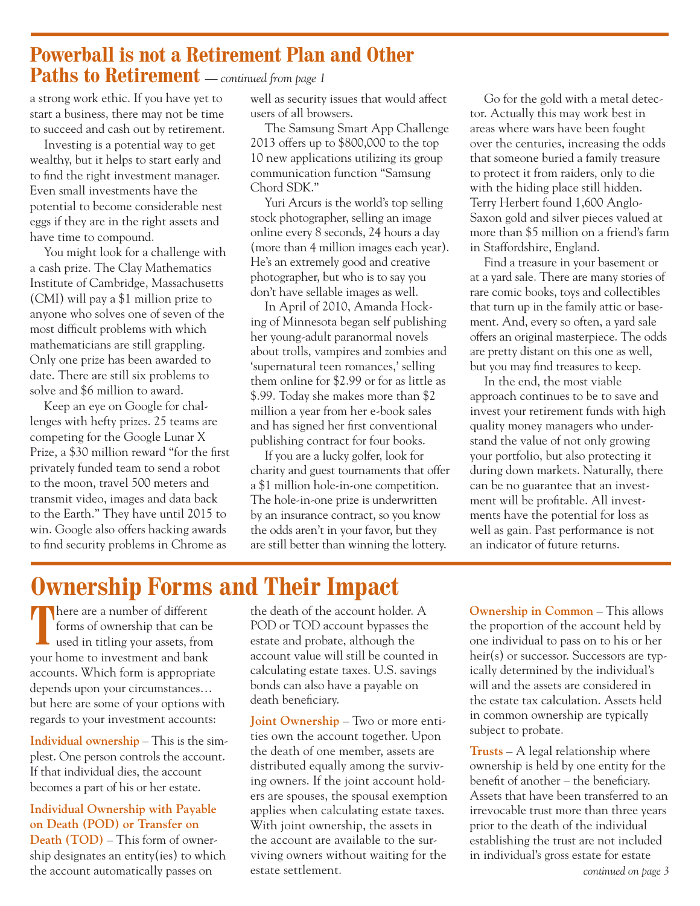## **Powerball is not a Retirement Plan and Other Paths to Retirement** *— continued from page 1*

a strong work ethic. If you have yet to start a business, there may not be time to succeed and cash out by retirement.

Investing is a potential way to get wealthy, but it helps to start early and to find the right investment manager. Even small investments have the potential to become considerable nest eggs if they are in the right assets and have time to compound.

You might look for a challenge with a cash prize. The Clay Mathematics Institute of Cambridge, Massachusetts (CMI) will pay a \$1 million prize to anyone who solves one of seven of the most difficult problems with which mathematicians are still grappling. Only one prize has been awarded to date. There are still six problems to solve and \$6 million to award.

Keep an eye on Google for challenges with hefty prizes. 25 teams are competing for the Google Lunar X Prize, a \$30 million reward "for the first privately funded team to send a robot to the moon, travel 500 meters and transmit video, images and data back to the Earth." They have until 2015 to win. Google also offers hacking awards to find security problems in Chrome as

well as security issues that would affect users of all browsers.

The Samsung Smart App Challenge 2013 offers up to \$800,000 to the top 10 new applications utilizing its group communication function "Samsung Chord SDK."

Yuri Arcurs is the world's top selling stock photographer, selling an image online every 8 seconds, 24 hours a day (more than 4 million images each year). He's an extremely good and creative photographer, but who is to say you don't have sellable images as well.

In April of 2010, Amanda Hocking of Minnesota began self publishing her young-adult paranormal novels about trolls, vampires and zombies and 'supernatural teen romances,' selling them online for \$2.99 or for as little as \$.99. Today she makes more than \$2 million a year from her e-book sales and has signed her first conventional publishing contract for four books.

If you are a lucky golfer, look for charity and guest tournaments that offer a \$1 million hole-in-one competition. The hole-in-one prize is underwritten by an insurance contract, so you know the odds aren't in your favor, but they are still better than winning the lottery.

Go for the gold with a metal detector. Actually this may work best in areas where wars have been fought over the centuries, increasing the odds that someone buried a family treasure to protect it from raiders, only to die with the hiding place still hidden. Terry Herbert found 1,600 Anglo-Saxon gold and silver pieces valued at more than \$5 million on a friend's farm in Staffordshire, England.

Find a treasure in your basement or at a yard sale. There are many stories of rare comic books, toys and collectibles that turn up in the family attic or basement. And, every so often, a yard sale offers an original masterpiece. The odds are pretty distant on this one as well, but you may find treasures to keep.

In the end, the most viable approach continues to be to save and invest your retirement funds with high quality money managers who understand the value of not only growing your portfolio, but also protecting it during down markets. Naturally, there can be no guarantee that an investment will be profitable. All investments have the potential for loss as well as gain. Past performance is not an indicator of future returns.

# **Ownership Forms and Their Impact**

There are a number of different forms of ownership that can be used in titling your assets, from your home to investment and bank accounts. Which form is appropriate depends upon your circumstances… but here are some of your options with regards to your investment accounts:

**Individual ownership** – This is the simplest. One person controls the account. If that individual dies, the account becomes a part of his or her estate.

**Individual Ownership with Payable on Death (POD) or Transfer on Death (TOD)** – This form of ownership designates an entity(ies) to which the account automatically passes on

the death of the account holder. A POD or TOD account bypasses the estate and probate, although the account value will still be counted in calculating estate taxes. U.S. savings bonds can also have a payable on death beneficiary.

**Joint Ownership** – Two or more entities own the account together. Upon the death of one member, assets are distributed equally among the surviving owners. If the joint account holders are spouses, the spousal exemption applies when calculating estate taxes. With joint ownership, the assets in the account are available to the surviving owners without waiting for the estate settlement.

**Ownership in Common** – This allows the proportion of the account held by one individual to pass on to his or her heir(s) or successor. Successors are typically determined by the individual's will and the assets are considered in the estate tax calculation. Assets held in common ownership are typically subject to probate.

**Trusts** – A legal relationship where ownership is held by one entity for the benefit of another – the beneficiary. Assets that have been transferred to an irrevocable trust more than three years prior to the death of the individual establishing the trust are not included in individual's gross estate for estate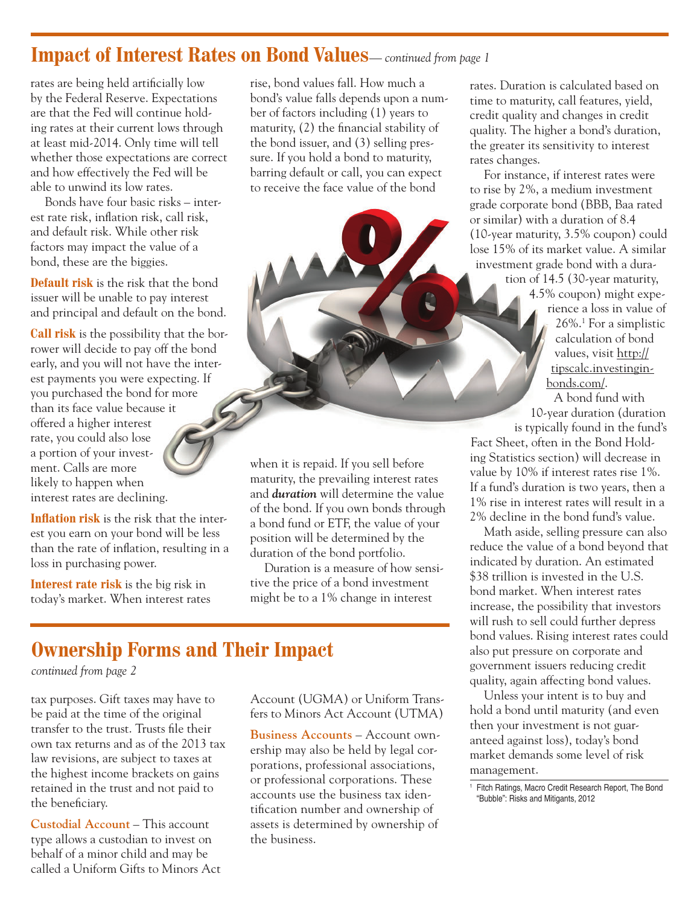### **Impact of Interest Rates on Bond Values***— continued from page 1*

rates are being held artificially low by the Federal Reserve. Expectations are that the Fed will continue holding rates at their current lows through at least mid-2014. Only time will tell whether those expectations are correct and how effectively the Fed will be able to unwind its low rates.

Bonds have four basic risks – interest rate risk, inflation risk, call risk, and default risk. While other risk factors may impact the value of a bond, these are the biggies.

**Default risk** is the risk that the bond issuer will be unable to pay interest and principal and default on the bond.

**Call risk** is the possibility that the borrower will decide to pay off the bond early, and you will not have the interest payments you were expecting. If you purchased the bond for more than its face value because it offered a higher interest rate, you could also lose a portion of your investment. Calls are more likely to happen when interest rates are declining.

**Inflation risk** is the risk that the interest you earn on your bond will be less than the rate of inflation, resulting in a loss in purchasing power.

**Interest rate risk** is the big risk in today's market. When interest rates rise, bond values fall. How much a bond's value falls depends upon a number of factors including (1) years to maturity, (2) the financial stability of the bond issuer, and (3) selling pressure. If you hold a bond to maturity, barring default or call, you can expect to receive the face value of the bond

when it is repaid. If you sell before maturity, the prevailing interest rates and *duration* will determine the value of the bond. If you own bonds through a bond fund or ETF, the value of your position will be determined by the duration of the bond portfolio.

Duration is a measure of how sensitive the price of a bond investment might be to a 1% change in interest

## **Ownership Forms and Their Impact**

*continued from page 2*

tax purposes. Gift taxes may have to be paid at the time of the original transfer to the trust. Trusts file their own tax returns and as of the 2013 tax law revisions, are subject to taxes at the highest income brackets on gains retained in the trust and not paid to the beneficiary.

**Custodial Account** – This account type allows a custodian to invest on behalf of a minor child and may be called a Uniform Gifts to Minors Act Account (UGMA) or Uniform Transfers to Minors Act Account (UTMA)

**Business Accounts** – Account ownership may also be held by legal corporations, professional associations, or professional corporations. These accounts use the business tax identification number and ownership of assets is determined by ownership of the business.

rates. Duration is calculated based on time to maturity, call features, yield, credit quality and changes in credit quality. The higher a bond's duration, the greater its sensitivity to interest rates changes.

For instance, if interest rates were to rise by 2%, a medium investment grade corporate bond (BBB, Baa rated or similar) with a duration of 8.4 (10-year maturity, 3.5% coupon) could lose 15% of its market value. A similar investment grade bond with a dura-

tion of 14.5 (30-year maturity, 4.5% coupon) might experience a loss in value of 26%.1 For a simplistic calculation of bond values, visit http:// tipscalc.investinginbonds.com/. A bond fund with

10-year duration (duration is typically found in the fund's

Fact Sheet, often in the Bond Holding Statistics section) will decrease in value by 10% if interest rates rise 1%. If a fund's duration is two years, then a 1% rise in interest rates will result in a 2% decline in the bond fund's value.

Math aside, selling pressure can also reduce the value of a bond beyond that indicated by duration. An estimated \$38 trillion is invested in the U.S. bond market. When interest rates increase, the possibility that investors will rush to sell could further depress bond values. Rising interest rates could also put pressure on corporate and government issuers reducing credit quality, again affecting bond values.

Unless your intent is to buy and hold a bond until maturity (and even then your investment is not guaranteed against loss), today's bond market demands some level of risk management.

<sup>&</sup>lt;sup>1</sup> Fitch Ratings, Macro Credit Research Report, The Bond "Bubble": Risks and Mitigants, 2012